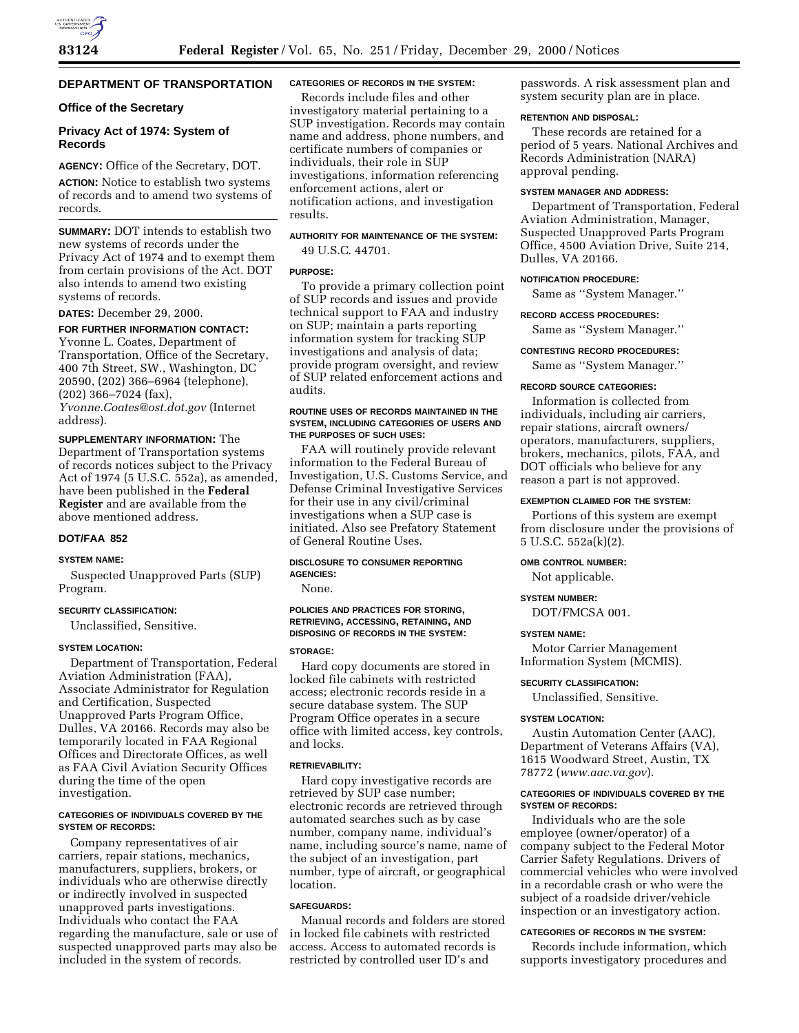# **DEPARTMENT OF TRANSPORTATION**

# **Office of the Secretary**

# **Privacy Act of 1974: System of Records**

**AGENCY:** Office of the Secretary, DOT. **ACTION:** Notice to establish two systems of records and to amend two systems of records.

**SUMMARY:** DOT intends to establish two new systems of records under the Privacy Act of 1974 and to exempt them from certain provisions of the Act. DOT also intends to amend two existing systems of records.

**DATES:** December 29, 2000.

# **FOR FURTHER INFORMATION CONTACT:**

Yvonne L. Coates, Department of Transportation, Office of the Secretary, 400 7th Street, SW., Washington, DC 20590, (202) 366–6964 (telephone), (202) 366–7024 (fax),

*Yvonne.Coates@ost.dot.gov* (Internet address).

**SUPPLEMENTARY INFORMATION:** The Department of Transportation systems of records notices subject to the Privacy Act of 1974 (5 U.S.C. 552a), as amended, have been published in the **Federal Register** and are available from the above mentioned address.

# **DOT/FAA 852**

#### **SYSTEM NAME:**

Suspected Unapproved Parts (SUP) Program.

#### **SECURITY CLASSIFICATION:**

Unclassified, Sensitive.

#### **SYSTEM LOCATION:**

Department of Transportation, Federal Aviation Administration (FAA), Associate Administrator for Regulation and Certification, Suspected Unapproved Parts Program Office, Dulles, VA 20166. Records may also be temporarily located in FAA Regional Offices and Directorate Offices, as well as FAA Civil Aviation Security Offices during the time of the open investigation.

## **CATEGORIES OF INDIVIDUALS COVERED BY THE SYSTEM OF RECORDS:**

Company representatives of air carriers, repair stations, mechanics, manufacturers, suppliers, brokers, or individuals who are otherwise directly or indirectly involved in suspected unapproved parts investigations. Individuals who contact the FAA regarding the manufacture, sale or use of suspected unapproved parts may also be included in the system of records.

# **CATEGORIES OF RECORDS IN THE SYSTEM:**

Records include files and other investigatory material pertaining to a SUP investigation. Records may contain name and address, phone numbers, and certificate numbers of companies or individuals, their role in SUP investigations, information referencing enforcement actions, alert or notification actions, and investigation results.

# **AUTHORITY FOR MAINTENANCE OF THE SYSTEM:** 49 U.S.C. 44701.

# **PURPOSE:**

To provide a primary collection point of SUP records and issues and provide technical support to FAA and industry on SUP; maintain a parts reporting information system for tracking SUP investigations and analysis of data; provide program oversight, and review of SUP related enforcement actions and audits.

#### **ROUTINE USES OF RECORDS MAINTAINED IN THE SYSTEM, INCLUDING CATEGORIES OF USERS AND THE PURPOSES OF SUCH USES:**

FAA will routinely provide relevant information to the Federal Bureau of Investigation, U.S. Customs Service, and Defense Criminal Investigative Services for their use in any civil/criminal investigations when a SUP case is initiated. Also see Prefatory Statement of General Routine Uses.

## **DISCLOSURE TO CONSUMER REPORTING AGENCIES:**

None.

## **POLICIES AND PRACTICES FOR STORING, RETRIEVING, ACCESSING, RETAINING, AND DISPOSING OF RECORDS IN THE SYSTEM:**

# **STORAGE:**

Hard copy documents are stored in locked file cabinets with restricted access; electronic records reside in a secure database system. The SUP Program Office operates in a secure office with limited access, key controls, and locks.

#### **RETRIEVABILITY:**

Hard copy investigative records are retrieved by SUP case number; electronic records are retrieved through automated searches such as by case number, company name, individual's name, including source's name, name of the subject of an investigation, part number, type of aircraft, or geographical location.

# **SAFEGUARDS:**

Manual records and folders are stored in locked file cabinets with restricted access. Access to automated records is restricted by controlled user ID's and

passwords. A risk assessment plan and system security plan are in place.

## **RETENTION AND DISPOSAL:**

These records are retained for a period of 5 years. National Archives and Records Administration (NARA) approval pending.

#### **SYSTEM MANAGER AND ADDRESS:**

Department of Transportation, Federal Aviation Administration, Manager, Suspected Unapproved Parts Program Office, 4500 Aviation Drive, Suite 214, Dulles, VA 20166.

## **NOTIFICATION PROCEDURE:**

Same as ''System Manager.''

#### **RECORD ACCESS PROCEDURES:**

Same as ''System Manager.''

#### **CONTESTING RECORD PROCEDURES:**

Same as ''System Manager.''

#### **RECORD SOURCE CATEGORIES:**

Information is collected from individuals, including air carriers, repair stations, aircraft owners/ operators, manufacturers, suppliers, brokers, mechanics, pilots, FAA, and DOT officials who believe for any reason a part is not approved.

#### **EXEMPTION CLAIMED FOR THE SYSTEM:**

Portions of this system are exempt from disclosure under the provisions of 5 U.S.C. 552a(k)(2).

## **OMB CONTROL NUMBER:**

Not applicable.

#### **SYSTEM NUMBER:**

DOT/FMCSA 001.

#### **SYSTEM NAME:**

Motor Carrier Management Information System (MCMIS).

#### **SECURITY CLASSIFICATION:**

Unclassified, Sensitive.

#### **SYSTEM LOCATION:**

Austin Automation Center (AAC), Department of Veterans Affairs (VA), 1615 Woodward Street, Austin, TX 78772 (*www.aac.va.gov*).

#### **CATEGORIES OF INDIVIDUALS COVERED BY THE SYSTEM OF RECORDS:**

Individuals who are the sole employee (owner/operator) of a company subject to the Federal Motor Carrier Safety Regulations. Drivers of commercial vehicles who were involved in a recordable crash or who were the subject of a roadside driver/vehicle inspection or an investigatory action.

#### **CATEGORIES OF RECORDS IN THE SYSTEM:**

Records include information, which supports investigatory procedures and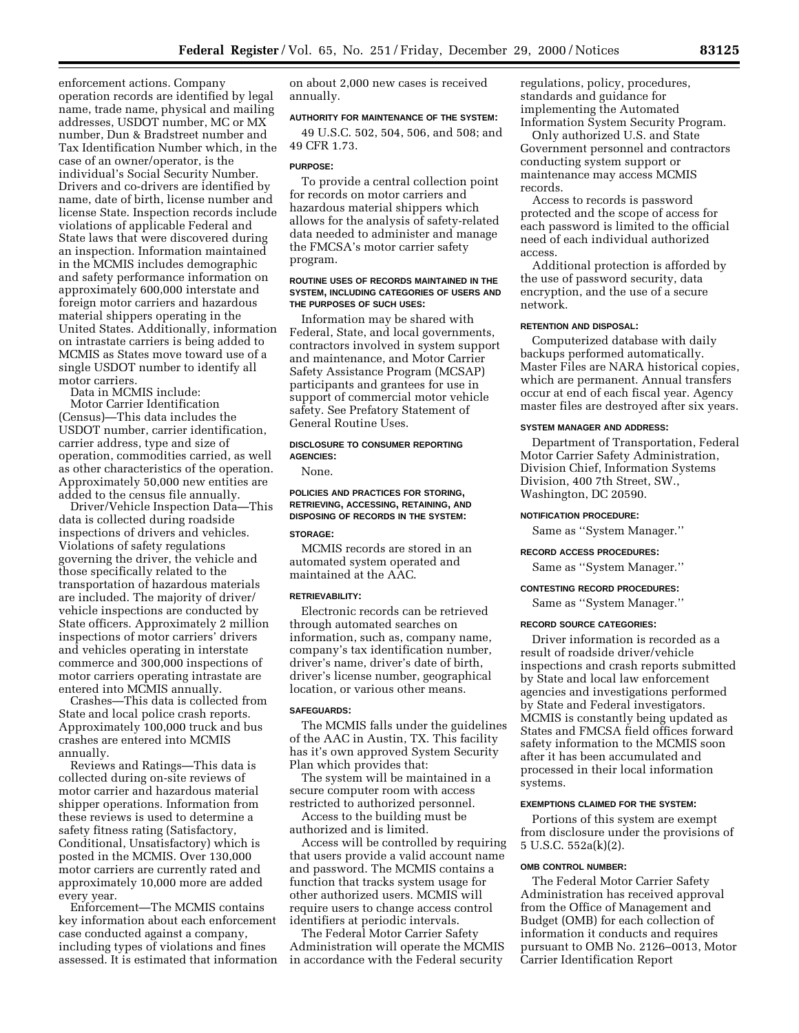enforcement actions. Company operation records are identified by legal name, trade name, physical and mailing addresses, USDOT number, MC or MX number, Dun & Bradstreet number and Tax Identification Number which, in the case of an owner/operator, is the individual's Social Security Number. Drivers and co-drivers are identified by name, date of birth, license number and license State. Inspection records include violations of applicable Federal and State laws that were discovered during an inspection. Information maintained in the MCMIS includes demographic and safety performance information on approximately 600,000 interstate and foreign motor carriers and hazardous material shippers operating in the United States. Additionally, information on intrastate carriers is being added to MCMIS as States move toward use of a single USDOT number to identify all motor carriers.

Data in MCMIS include:

Motor Carrier Identification (Census)—This data includes the USDOT number, carrier identification, carrier address, type and size of operation, commodities carried, as well as other characteristics of the operation. Approximately 50,000 new entities are added to the census file annually.

Driver/Vehicle Inspection Data—This data is collected during roadside inspections of drivers and vehicles. Violations of safety regulations governing the driver, the vehicle and those specifically related to the transportation of hazardous materials are included. The majority of driver/ vehicle inspections are conducted by State officers. Approximately 2 million inspections of motor carriers' drivers and vehicles operating in interstate commerce and 300,000 inspections of motor carriers operating intrastate are entered into MCMIS annually.

Crashes—This data is collected from State and local police crash reports. Approximately 100,000 truck and bus crashes are entered into MCMIS annually.

Reviews and Ratings—This data is collected during on-site reviews of motor carrier and hazardous material shipper operations. Information from these reviews is used to determine a safety fitness rating (Satisfactory, Conditional, Unsatisfactory) which is posted in the MCMIS. Over 130,000 motor carriers are currently rated and approximately 10,000 more are added every year.

Enforcement—The MCMIS contains key information about each enforcement case conducted against a company, including types of violations and fines assessed. It is estimated that information on about 2,000 new cases is received annually.

## **AUTHORITY FOR MAINTENANCE OF THE SYSTEM:**

49 U.S.C. 502, 504, 506, and 508; and 49 CFR 1.73.

#### **PURPOSE:**

To provide a central collection point for records on motor carriers and hazardous material shippers which allows for the analysis of safety-related data needed to administer and manage the FMCSA's motor carrier safety program.

#### **ROUTINE USES OF RECORDS MAINTAINED IN THE SYSTEM, INCLUDING CATEGORIES OF USERS AND THE PURPOSES OF SUCH USES:**

Information may be shared with Federal, State, and local governments, contractors involved in system support and maintenance, and Motor Carrier Safety Assistance Program (MCSAP) participants and grantees for use in support of commercial motor vehicle safety. See Prefatory Statement of General Routine Uses.

# **DISCLOSURE TO CONSUMER REPORTING AGENCIES:**

None.

**POLICIES AND PRACTICES FOR STORING, RETRIEVING, ACCESSING, RETAINING, AND DISPOSING OF RECORDS IN THE SYSTEM:**

# **STORAGE:**

MCMIS records are stored in an automated system operated and maintained at the AAC.

## **RETRIEVABILITY:**

Electronic records can be retrieved through automated searches on information, such as, company name, company's tax identification number, driver's name, driver's date of birth, driver's license number, geographical location, or various other means.

# **SAFEGUARDS:**

The MCMIS falls under the guidelines of the AAC in Austin, TX. This facility has it's own approved System Security Plan which provides that:

The system will be maintained in a secure computer room with access restricted to authorized personnel.

Access to the building must be authorized and is limited.

Access will be controlled by requiring that users provide a valid account name and password. The MCMIS contains a function that tracks system usage for other authorized users. MCMIS will require users to change access control identifiers at periodic intervals.

The Federal Motor Carrier Safety Administration will operate the MCMIS in accordance with the Federal security

regulations, policy, procedures, standards and guidance for implementing the Automated Information System Security Program.

Only authorized U.S. and State Government personnel and contractors conducting system support or maintenance may access MCMIS records.

Access to records is password protected and the scope of access for each password is limited to the official need of each individual authorized access.

Additional protection is afforded by the use of password security, data encryption, and the use of a secure network.

#### **RETENTION AND DISPOSAL:**

Computerized database with daily backups performed automatically. Master Files are NARA historical copies, which are permanent. Annual transfers occur at end of each fiscal year. Agency master files are destroyed after six years.

#### **SYSTEM MANAGER AND ADDRESS:**

Department of Transportation, Federal Motor Carrier Safety Administration, Division Chief, Information Systems Division, 400 7th Street, SW., Washington, DC 20590.

# **NOTIFICATION PROCEDURE:**

Same as ''System Manager.''

## **RECORD ACCESS PROCEDURES:**

Same as ''System Manager.''

#### **CONTESTING RECORD PROCEDURES:**

Same as ''System Manager.''

## **RECORD SOURCE CATEGORIES:**

Driver information is recorded as a result of roadside driver/vehicle inspections and crash reports submitted by State and local law enforcement agencies and investigations performed by State and Federal investigators. MCMIS is constantly being updated as States and FMCSA field offices forward safety information to the MCMIS soon after it has been accumulated and processed in their local information systems.

#### **EXEMPTIONS CLAIMED FOR THE SYSTEM:**

Portions of this system are exempt from disclosure under the provisions of 5 U.S.C. 552a(k)(2).

## **OMB CONTROL NUMBER:**

The Federal Motor Carrier Safety Administration has received approval from the Office of Management and Budget (OMB) for each collection of information it conducts and requires pursuant to OMB No. 2126–0013, Motor Carrier Identification Report